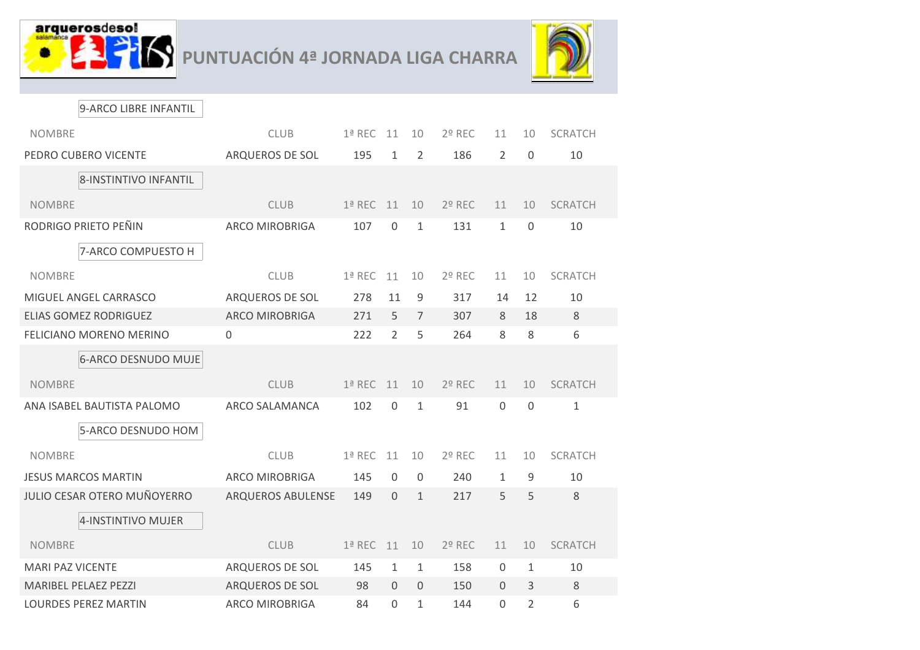



9-ARCO LIBRE INFANTIL

| <b>NOMBRE</b>                              | <b>CLUB</b>            | 1ª REC   | 11             | 10             | 2º REC   | 11             | 10           | <b>SCRATCH</b> |
|--------------------------------------------|------------------------|----------|----------------|----------------|----------|----------------|--------------|----------------|
| PEDRO CUBERO VICENTE                       | ARQUEROS DE SOL        | 195      | 1              | $\overline{2}$ | 186      | 2              | $\mathbf{0}$ | 10             |
| 8-INSTINTIVO INFANTIL                      |                        |          |                |                |          |                |              |                |
| <b>NOMBRE</b>                              | <b>CLUB</b>            | $1a$ REC | 11             | 10             | 2º REC   | 11             | 10           | <b>SCRATCH</b> |
| RODRIGO PRIETO PEÑIN<br>7-ARCO COMPUESTO H | <b>ARCO MIROBRIGA</b>  | 107      | 0              | $\mathbf{1}$   | 131      | $\mathbf{1}$   | $\mathbf 0$  | 10             |
| <b>NOMBRE</b>                              | <b>CLUB</b>            | 1ª REC   | 11             | 10             | 2º REC   | 11             | 10           | <b>SCRATCH</b> |
| MIGUEL ANGEL CARRASCO                      | ARQUEROS DE SOL        | 278      | 11             | 9              | 317      | 14             | 12           | 10             |
| <b>ELIAS GOMEZ RODRIGUEZ</b>               | <b>ARCO MIROBRIGA</b>  | 271      | 5              | $\overline{7}$ | 307      | 8              | 18           | 8              |
| FELICIANO MORENO MERINO                    | $\boldsymbol{0}$       | 222      | $\overline{2}$ | 5              | 264      | 8              | 8            | 6              |
| <b>6-ARCO DESNUDO MUJE</b>                 |                        |          |                |                |          |                |              |                |
| <b>NOMBRE</b>                              | <b>CLUB</b>            | 1ª REC   | 11             | 10             | $2°$ REC | 11             | 10           | <b>SCRATCH</b> |
| ANA ISABEL BAUTISTA PALOMO                 | ARCO SALAMANCA         | 102      | $\Omega$       | 1              | 91       | $\Omega$       | $\mathbf{0}$ | $\mathbf{1}$   |
| 5-ARCO DESNUDO HOM                         |                        |          |                |                |          |                |              |                |
| <b>NOMBRE</b>                              | <b>CLUB</b>            | $1a$ REC | 11             | 10             | 2º REC   | 11             | 10           | <b>SCRATCH</b> |
| <b>JESUS MARCOS MARTIN</b>                 | <b>ARCO MIROBRIGA</b>  | 145      | $\Omega$       | $\mathbf 0$    | 240      | $\mathbf{1}$   | 9            | 10             |
| <b>JULIO CESAR OTERO MUÑOYERRO</b>         | ARQUEROS ABULENSE      | 149      | $\Omega$       | $\mathbf{1}$   | 217      | 5              | 5            | 8              |
| 4-INSTINTIVO MUJER                         |                        |          |                |                |          |                |              |                |
| <b>NOMBRE</b>                              | <b>CLUB</b>            | 1ª REC   | 11             | 10             | 2º REC   | 11             | 10           | <b>SCRATCH</b> |
| <b>MARI PAZ VICENTE</b>                    | <b>ARQUEROS DE SOL</b> | 145      | $\mathbf{1}$   | $\mathbf{1}$   | 158      | $\overline{0}$ | $\mathbf{1}$ | 10             |
| <b>MARIBEL PELAEZ PEZZI</b>                | ARQUEROS DE SOL        | 98       | $\Omega$       | $\Omega$       | 150      | $\Omega$       | 3            | 8              |
| <b>LOURDES PEREZ MARTIN</b>                | <b>ARCO MIROBRIGA</b>  | 84       | $\mathbf{0}$   | $\mathbf{1}$   | 144      | $\overline{0}$ | 2            | 6              |